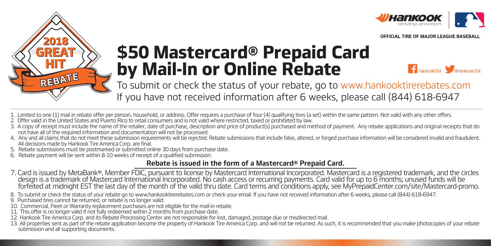



## **\$50 Mastercard® Prepaid Card by Mail-In or Online Rebate**

**THankookUSA** 

To submit or check the status of your rebate, go to www.hankooktirerebates.com If you have not received information after 6 weeks, please call (844) 618-6947

- 1. Limited to one (1) mail in rebate offer per person, household, or address. Offer requires a purchase of four (4) qualifying tires (a set) within the same pattern. Not valid with any other offers.
- 2. Offer valid in the United States and Puerto Rico to retail consumers and is not valid where restricted, taxed or prohibited by law.
- 3. A copy of receipt must include the name of the retailer, date of purchase, description and price of product(s) purchased and method of payment. Any rebate applications and original receipts that do not have all of the required information and documentation will not be processed.
- 4. Any and all claims that do not meet these submission requirements will be rejected. Rebate submissions that include false, altered, or forged purchase information will be considered invalid and fraudulent. All decisions made by Hankook Tire America Corp. are final.
- 5. Rebate submissions must be postmarked or submitted online 30 days from purchase date.
- 6. Rebate payment will be sent within 8-10 weeks of receipt of a qualified submission.

## **Rebate is issued in the form of a Mastercard® Prepaid Card.**

- 7. Card is issued by MetaBank®, Member FDIC, pursuant to license by Mastercard International Incorporated. Mastercard is a registered trademark, and the circles design is a trademark of Mastercard International Incorporated. No cash access or recurring payments. Card valid for up to 6 months; unused funds will be forfeited at midnight EST the last day of the month of the valid thru date. Card terms and conditions apply, see MyPrepaidCenter.com/site/Mastercard-promo.
- 8. To submit or check the status of your rebate go to www.hankooktirerebates.com or check your email. If you have not received information after 6 weeks, please call (844) 618-6947.
- 9. Purchased tires cannot be returned, or rebate is no longer valid.
- 10. Commercial, Fleet or Warranty replacement purchases are not eligible for the mail-in rebate.
- 11. This offer is no longer valid if not fully redeemed within 2 months from purchase date.
- 12. Hankook Tire America Corp. and its Rebate Processing Center are not responsible for lost, damaged, postage due or misdirected mail.
- 13. All properties sent as part of the rebate application become the property of Hankook Tire America Corp. and will not be returned. As such, it is recommended that you make photocopies of your rebate submission and all supporting documents.